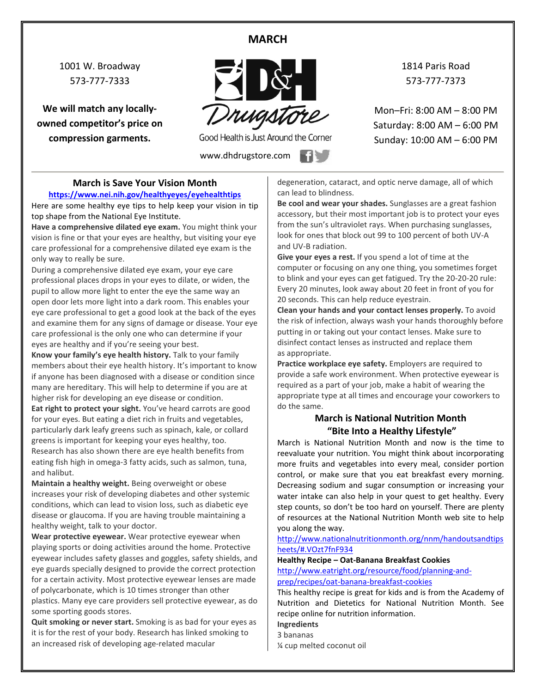### **MARCH**

1001 W. Broadway 573-777-7333

**We will match any locallyowned competitor's price on compression garments.**



Good Health is Just Around the Corner

www.dhdrugstore.com

1814 Paris Road 573-777-7373

Mon–Fri: 8:00 AM – 8:00 PM Saturday: 8:00 AM – 6:00 PM Sunday: 10:00 AM – 6:00 PM

### **March is Save Your Vision Month**

#### **<https://www.nei.nih.gov/healthyeyes/eyehealthtips>**

Here are some healthy eye tips to help keep your vision in tip top shape from the National Eye Institute.

**Have a comprehensive dilated eye exam.** You might think your vision is fine or that your eyes are healthy, but visiting your eye care professional for a comprehensive dilated eye exam is the only way to really be sure.

During a comprehensive dilated eye exam, your eye care professional places drops in your eyes to dilate, or widen, the pupil to allow more light to enter the eye the same way an open door lets more light into a dark room. This enables your eye care professional to get a good look at the back of the eyes and examine them for any signs of damage or disease. Your eye care professional is the only one who can determine if your eyes are healthy and if you're seeing your best.

**Know your family's eye health history.** Talk to your family members about their eye health history. It's important to know if anyone has been diagnosed with a disease or condition since many are hereditary. This will help to determine if you are at higher risk for developing an eye disease or condition.

**Eat right to protect your sight.** You've heard carrots are good for your eyes. But eating a diet rich in fruits and vegetables, particularly dark leafy greens such as spinach, kale, or collard greens is important for keeping your eyes healthy, too. Research has also shown there are eye health benefits from eating fish high in omega-3 fatty acids, such as salmon, tuna, and halibut.

**Maintain a healthy weight.** Being overweight or obese increases your risk of developing diabetes and other systemic conditions, which can lead to vision loss, such as diabetic eye disease or glaucoma. If you are having trouble maintaining a healthy weight, talk to your doctor.

**Wear protective eyewear.** Wear protective eyewear when playing sports or doing activities around the home. Protective eyewear includes safety glasses and goggles, safety shields, and eye guards specially designed to provide the correct protection for a certain activity. Most protective eyewear lenses are made of polycarbonate, which is 10 times stronger than other plastics. Many eye care providers sell protective eyewear, as do

some sporting goods stores.

**Quit smoking or never start.** Smoking is as bad for your eyes as it is for the rest of your body. Research has linked smoking to an increased risk of developing age-related macular

degeneration, cataract, and optic nerve damage, all of which can lead to blindness.

**Be cool and wear your shades.** Sunglasses are a great fashion accessory, but their most important job is to protect your eyes from the sun's ultraviolet rays. When purchasing sunglasses, look for ones that block out 99 to 100 percent of both UV-A and UV-B radiation.

**Give your eyes a rest.** If you spend a lot of time at the computer or focusing on any one thing, you sometimes forget to blink and your eyes can get fatigued. Try the 20-20-20 rule: Every 20 minutes, look away about 20 feet in front of you for 20 seconds. This can help reduce eyestrain.

**Clean your hands and your contact lenses properly.** To avoid the risk of infection, always wash your hands thoroughly before putting in or taking out your contact lenses. Make sure to disinfect contact lenses as instructed and replace them as appropriate.

**Practice workplace eye safety.** Employers are required to provide a safe work environment. When protective eyewear is required as a part of your job, make a habit of wearing the appropriate type at all times and encourage your coworkers to do the same.

### **March is National Nutrition Month "Bite Into a Healthy Lifestyle"**

March is National Nutrition Month and now is the time to reevaluate your nutrition. You might think about incorporating more fruits and vegetables into every meal, consider portion control, or make sure that you eat breakfast every morning. Decreasing sodium and sugar consumption or increasing your water intake can also help in your quest to get healthy. Every step counts, so don't be too hard on yourself. There are plenty of resources at the National Nutrition Month web site to help you along the way.

[http://www.nationalnutritionmonth.org/nnm/handoutsandtips](http://www.nationalnutritionmonth.org/nnm/handoutsandtipsheets/%23.VOzt7fnF934) [heets/#.VOzt7fnF934](http://www.nationalnutritionmonth.org/nnm/handoutsandtipsheets/%23.VOzt7fnF934)

#### **Healthy Recipe – Oat-Banana Breakfast Cookies**

[http://www.eatright.org/resource/food/planning-and](http://www.eatright.org/resource/food/planning-and-prep/recipes/oat-banana-breakfast-cookies)[prep/recipes/oat-banana-breakfast-cookies](http://www.eatright.org/resource/food/planning-and-prep/recipes/oat-banana-breakfast-cookies)

This healthy recipe is great for kids and is from the Academy of Nutrition and Dietetics for National Nutrition Month. See recipe online for nutrition information.

### **Ingredients**

3 bananas

¼ cup melted coconut oil